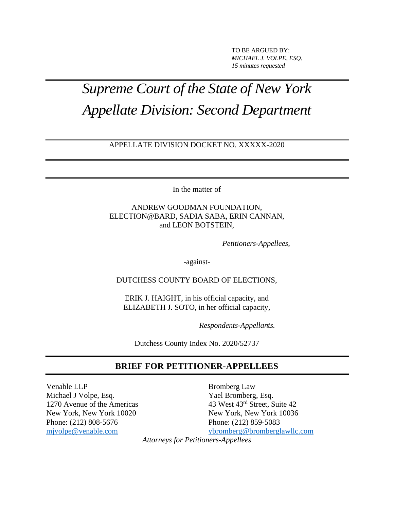TO BE ARGUED BY: *MICHAEL J. VOLPE, ESQ. 15 minutes requested*

# *Supreme Court of the State of New York Appellate Division: Second Department*

#### APPELLATE DIVISION DOCKET NO. XXXXX-2020

In the matter of

ANDREW GOODMAN FOUNDATION, ELECTION@BARD, SADIA SABA, ERIN CANNAN, and LEON BOTSTEIN,

*Petitioners-Appellees,*

-against-

DUTCHESS COUNTY BOARD OF ELECTIONS,

ERIK J. HAIGHT, in his official capacity, and ELIZABETH J. SOTO, in her official capacity,

*Respondents-Appellants.*

Dutchess County Index No. 2020/52737

#### **BRIEF FOR PETITIONER-APPELLEES**

Venable LLP Bromberg Law

Michael J Volpe, Esq. Yael Bromberg, Esq. 1270 Avenue of the Americas 43 West 43<sup>rd</sup> Street, Suite 42 New York, New York 10020 New York, New York 10036 Phone: (212) 808-5676 Phone: (212) 859-5083 [mjvolpe@venable.com](mailto:mjvolpe@venable.com) [ybromberg@bromberglawllc.com](mailto:ybromberg@bromberglawllc.com)

*Attorneys for Petitioners-Appellees*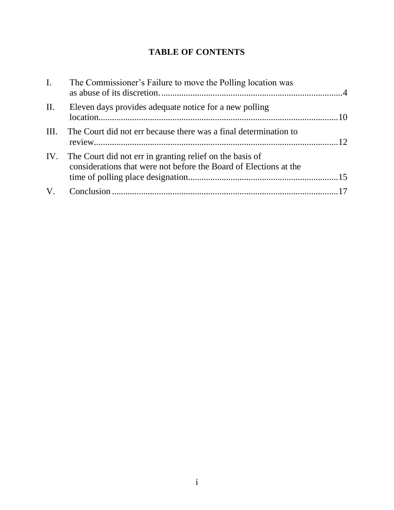# **TABLE OF CONTENTS**

| I.  | The Commissioner's Failure to move the Polling location was                                                                       |  |
|-----|-----------------------------------------------------------------------------------------------------------------------------------|--|
| II. | Eleven days provides adequate notice for a new polling                                                                            |  |
|     | III. The Court did not err because there was a final determination to                                                             |  |
|     | IV. The Court did not err in granting relief on the basis of<br>considerations that were not before the Board of Elections at the |  |
|     |                                                                                                                                   |  |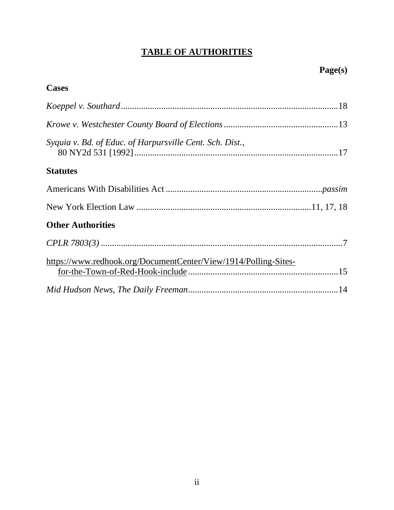# **TABLE OF AUTHORITIES**

| <b>Cases</b>                                                    |  |
|-----------------------------------------------------------------|--|
|                                                                 |  |
|                                                                 |  |
| Syquia v. Bd. of Educ. of Harpursville Cent. Sch. Dist.,        |  |
| <b>Statutes</b>                                                 |  |
|                                                                 |  |
|                                                                 |  |
| <b>Other Authorities</b>                                        |  |
|                                                                 |  |
| https://www.redhook.org/DocumentCenter/View/1914/Polling-Sites- |  |
|                                                                 |  |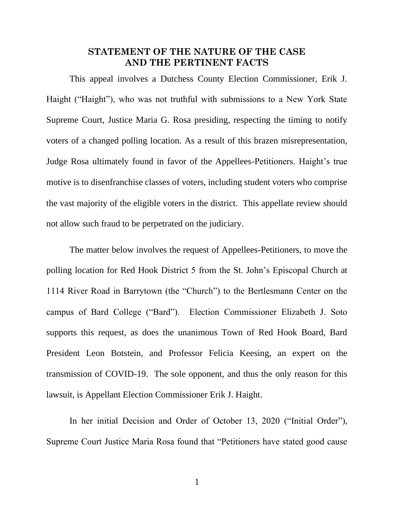#### **STATEMENT OF THE NATURE OF THE CASE AND THE PERTINENT FACTS**

This appeal involves a Dutchess County Election Commissioner, Erik J. Haight ("Haight"), who was not truthful with submissions to a New York State Supreme Court, Justice Maria G. Rosa presiding, respecting the timing to notify voters of a changed polling location. As a result of this brazen misrepresentation, Judge Rosa ultimately found in favor of the Appellees-Petitioners. Haight's true motive is to disenfranchise classes of voters, including student voters who comprise the vast majority of the eligible voters in the district. This appellate review should not allow such fraud to be perpetrated on the judiciary.

The matter below involves the request of Appellees-Petitioners, to move the polling location for Red Hook District 5 from the St. John's Episcopal Church at 1114 River Road in Barrytown (the "Church") to the Bertlesmann Center on the campus of Bard College ("Bard"). Election Commissioner Elizabeth J. Soto supports this request, as does the unanimous Town of Red Hook Board, Bard President Leon Botstein, and Professor Felicia Keesing, an expert on the transmission of COVID-19. The sole opponent, and thus the only reason for this lawsuit, is Appellant Election Commissioner Erik J. Haight.

In her initial Decision and Order of October 13, 2020 ("Initial Order"), Supreme Court Justice Maria Rosa found that "Petitioners have stated good cause

1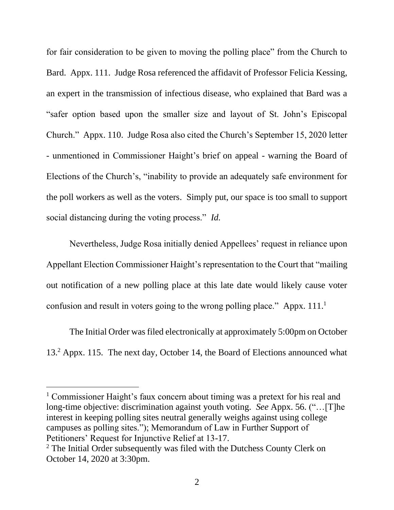for fair consideration to be given to moving the polling place" from the Church to Bard. Appx. 111. Judge Rosa referenced the affidavit of Professor Felicia Kessing, an expert in the transmission of infectious disease, who explained that Bard was a "safer option based upon the smaller size and layout of St. John's Episcopal Church." Appx. 110. Judge Rosa also cited the Church's September 15, 2020 letter - unmentioned in Commissioner Haight's brief on appeal - warning the Board of Elections of the Church's, "inability to provide an adequately safe environment for the poll workers as well as the voters. Simply put, our space is too small to support social distancing during the voting process." *Id.* 

Nevertheless, Judge Rosa initially denied Appellees' request in reliance upon Appellant Election Commissioner Haight's representation to the Court that "mailing out notification of a new polling place at this late date would likely cause voter confusion and result in voters going to the wrong polling place." Appx.  $111.^1$ 

The Initial Order was filed electronically at approximately 5:00pm on October 13.<sup>2</sup> Appx. 115. The next day, October 14, the Board of Elections announced what

<sup>&</sup>lt;sup>1</sup> Commissioner Haight's faux concern about timing was a pretext for his real and long-time objective: discrimination against youth voting. *See* Appx. 56. ("…[T]he interest in keeping polling sites neutral generally weighs against using college campuses as polling sites."); Memorandum of Law in Further Support of Petitioners' Request for Injunctive Relief at 13-17.

<sup>&</sup>lt;sup>2</sup> The Initial Order subsequently was filed with the Dutchess County Clerk on October 14, 2020 at 3:30pm.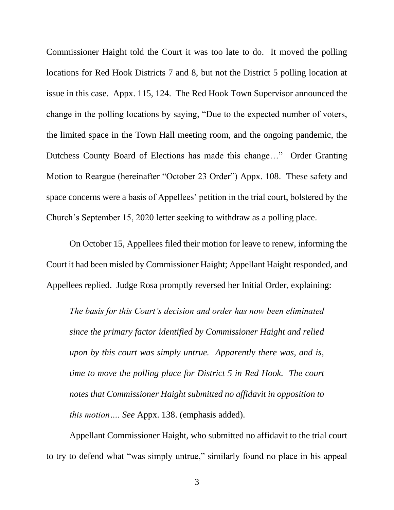Commissioner Haight told the Court it was too late to do. It moved the polling locations for Red Hook Districts 7 and 8, but not the District 5 polling location at issue in this case. Appx. 115, 124. The Red Hook Town Supervisor announced the change in the polling locations by saying, "Due to the expected number of voters, the limited space in the Town Hall meeting room, and the ongoing pandemic, the Dutchess County Board of Elections has made this change…" Order Granting Motion to Reargue (hereinafter "October 23 Order") Appx. 108. These safety and space concerns were a basis of Appellees' petition in the trial court, bolstered by the Church's September 15, 2020 letter seeking to withdraw as a polling place.

On October 15, Appellees filed their motion for leave to renew, informing the Court it had been misled by Commissioner Haight; Appellant Haight responded, and Appellees replied. Judge Rosa promptly reversed her Initial Order, explaining:

*The basis for this Court's decision and order has now been eliminated since the primary factor identified by Commissioner Haight and relied upon by this court was simply untrue. Apparently there was, and is, time to move the polling place for District 5 in Red Hook. The court notes that Commissioner Haight submitted no affidavit in opposition to this motion…. See* Appx. 138. (emphasis added).

Appellant Commissioner Haight, who submitted no affidavit to the trial court to try to defend what "was simply untrue," similarly found no place in his appeal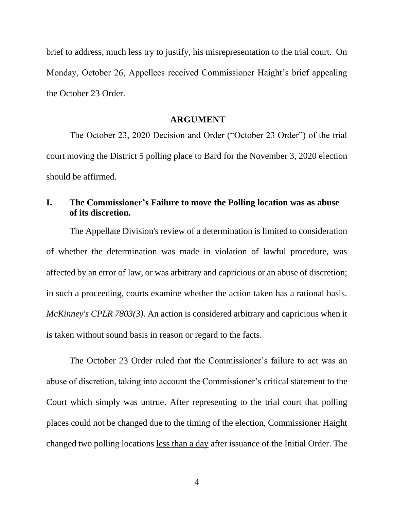brief to address, much less try to justify, his misrepresentation to the trial court. On Monday, October 26, Appellees received Commissioner Haight's brief appealing the October 23 Order.

#### **ARGUMENT**

The October 23, 2020 Decision and Order ("October 23 Order") of the trial court moving the District 5 polling place to Bard for the November 3, 2020 election should be affirmed.

## <span id="page-6-0"></span>**I. The Commissioner's Failure to move the Polling location was as abuse of its discretion.**

The Appellate Division's review of a determination is limited to consideration of whether the determination was made in violation of lawful procedure, was affected by an error of law, or was arbitrary and capricious or an abuse of discretion; in such a proceeding, courts examine whether the action taken has a rational basis. *McKinney's CPLR 7803(3).* An action is considered arbitrary and capricious when it is taken without sound basis in reason or regard to the facts.

<span id="page-6-1"></span>The October 23 Order ruled that the Commissioner's failure to act was an abuse of discretion, taking into account the Commissioner's critical statement to the Court which simply was untrue. After representing to the trial court that polling places could not be changed due to the timing of the election, Commissioner Haight changed two polling locations less than a day after issuance of the Initial Order. The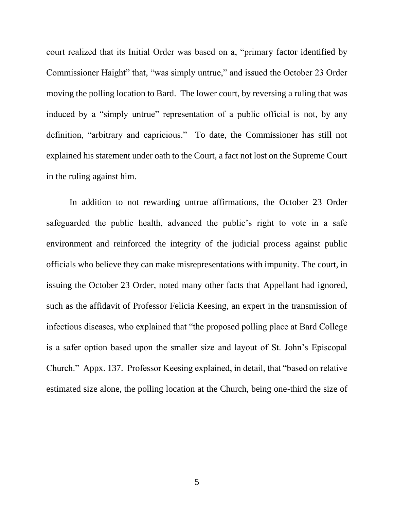court realized that its Initial Order was based on a, "primary factor identified by Commissioner Haight" that, "was simply untrue," and issued the October 23 Order moving the polling location to Bard. The lower court, by reversing a ruling that was induced by a "simply untrue" representation of a public official is not, by any definition, "arbitrary and capricious." To date, the Commissioner has still not explained his statement under oath to the Court, a fact not lost on the Supreme Court in the ruling against him.

In addition to not rewarding untrue affirmations, the October 23 Order safeguarded the public health, advanced the public's right to vote in a safe environment and reinforced the integrity of the judicial process against public officials who believe they can make misrepresentations with impunity. The court, in issuing the October 23 Order, noted many other facts that Appellant had ignored, such as the affidavit of Professor Felicia Keesing, an expert in the transmission of infectious diseases, who explained that "the proposed polling place at Bard College is a safer option based upon the smaller size and layout of St. John's Episcopal Church." Appx. 137. Professor Keesing explained, in detail, that "based on relative estimated size alone, the polling location at the Church, being one-third the size of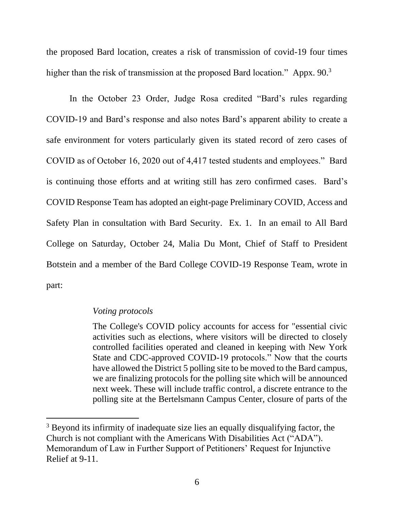the proposed Bard location, creates a risk of transmission of covid-19 four times higher than the risk of transmission at the proposed Bard location." Appx. 90.<sup>3</sup>

In the October 23 Order, Judge Rosa credited "Bard's rules regarding COVID-19 and Bard's response and also notes Bard's apparent ability to create a safe environment for voters particularly given its stated record of zero cases of COVID as of October 16, 2020 out of 4,417 tested students and employees." Bard is continuing those efforts and at writing still has zero confirmed cases. Bard's COVID Response Team has adopted an eight-page Preliminary COVID, Access and Safety Plan in consultation with Bard Security. Ex. 1. In an email to All Bard College on Saturday, October 24, Malia Du Mont, Chief of Staff to President Botstein and a member of the Bard College COVID-19 Response Team, wrote in part:

#### *Voting protocols*

The College's COVID policy accounts for access for "essential civic activities such as elections, where visitors will be directed to closely controlled facilities operated and cleaned in keeping with New York State and CDC-approved COVID-19 protocols." Now that the courts have allowed the District 5 polling site to be moved to the Bard campus, we are finalizing protocols for the polling site which will be announced next week. These will include traffic control, a discrete entrance to the polling site at the Bertelsmann Campus Center, closure of parts of the

<span id="page-8-0"></span><sup>&</sup>lt;sup>3</sup> Beyond its infirmity of inadequate size lies an equally disqualifying factor, the Church is not compliant with the Americans With Disabilities Act ("ADA"). Memorandum of Law in Further Support of Petitioners' Request for Injunctive Relief at 9-11.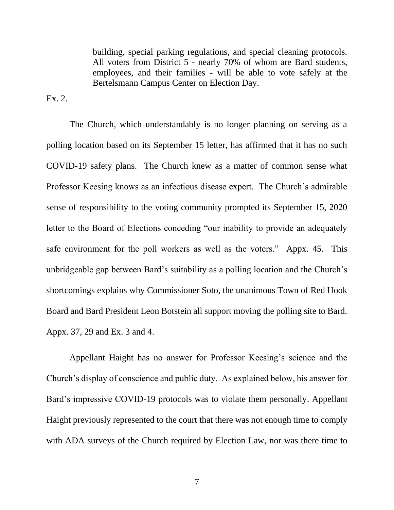building, special parking regulations, and special cleaning protocols. All voters from District 5 - nearly 70% of whom are Bard students, employees, and their families - will be able to vote safely at the Bertelsmann Campus Center on Election Day.

Ex. 2.

The Church, which understandably is no longer planning on serving as a polling location based on its September 15 letter, has affirmed that it has no such COVID-19 safety plans. The Church knew as a matter of common sense what Professor Keesing knows as an infectious disease expert. The Church's admirable sense of responsibility to the voting community prompted its September 15, 2020 letter to the Board of Elections conceding "our inability to provide an adequately safe environment for the poll workers as well as the voters." Appx. 45. This unbridgeable gap between Bard's suitability as a polling location and the Church's shortcomings explains why Commissioner Soto, the unanimous Town of Red Hook Board and Bard President Leon Botstein all support moving the polling site to Bard. Appx. 37, 29 and Ex. 3 and 4.

Appellant Haight has no answer for Professor Keesing's science and the Church's display of conscience and public duty. As explained below, his answer for Bard's impressive COVID-19 protocols was to violate them personally. Appellant Haight previously represented to the court that there was not enough time to comply with ADA surveys of the Church required by Election Law, nor was there time to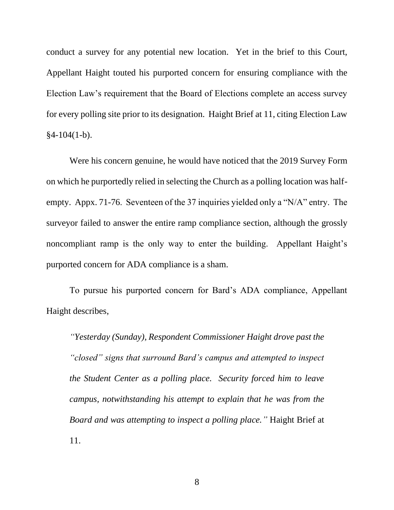conduct a survey for any potential new location. Yet in the brief to this Court, Appellant Haight touted his purported concern for ensuring compliance with the Election Law's requirement that the Board of Elections complete an access survey for every polling site prior to its designation. Haight Brief at 11, citing Election Law  $§4-104(1-b).$ 

<span id="page-10-0"></span>Were his concern genuine, he would have noticed that the 2019 Survey Form on which he purportedly relied in selecting the Church as a polling location was halfempty. Appx. 71-76. Seventeen of the 37 inquiries yielded only a "N/A" entry. The surveyor failed to answer the entire ramp compliance section, although the grossly noncompliant ramp is the only way to enter the building. Appellant Haight's purported concern for ADA compliance is a sham.

To pursue his purported concern for Bard's ADA compliance, Appellant Haight describes,

*"Yesterday (Sunday), Respondent Commissioner Haight drove past the "closed" signs that surround Bard's campus and attempted to inspect the Student Center as a polling place. Security forced him to leave campus, notwithstanding his attempt to explain that he was from the Board and was attempting to inspect a polling place."* Haight Brief at 11.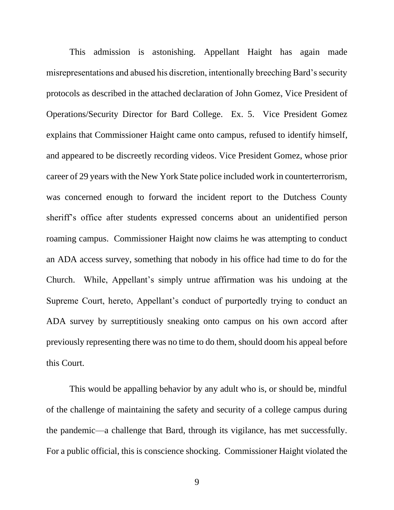This admission is astonishing. Appellant Haight has again made misrepresentations and abused his discretion, intentionally breeching Bard's security protocols as described in the attached declaration of John Gomez, Vice President of Operations/Security Director for Bard College. Ex. 5. Vice President Gomez explains that Commissioner Haight came onto campus, refused to identify himself, and appeared to be discreetly recording videos. Vice President Gomez, whose prior career of 29 years with the New York State police included work in counterterrorism, was concerned enough to forward the incident report to the Dutchess County sheriff's office after students expressed concerns about an unidentified person roaming campus. Commissioner Haight now claims he was attempting to conduct an ADA access survey, something that nobody in his office had time to do for the Church. While, Appellant's simply untrue affirmation was his undoing at the Supreme Court, hereto, Appellant's conduct of purportedly trying to conduct an ADA survey by surreptitiously sneaking onto campus on his own accord after previously representing there was no time to do them, should doom his appeal before this Court.

This would be appalling behavior by any adult who is, or should be, mindful of the challenge of maintaining the safety and security of a college campus during the pandemic—a challenge that Bard, through its vigilance, has met successfully. For a public official, this is conscience shocking. Commissioner Haight violated the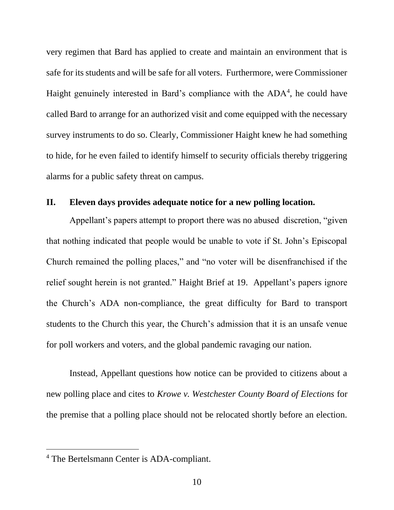very regimen that Bard has applied to create and maintain an environment that is safe for its students and will be safe for all voters. Furthermore, were Commissioner Haight genuinely interested in Bard's compliance with the ADA<sup>4</sup>, he could have called Bard to arrange for an authorized visit and come equipped with the necessary survey instruments to do so. Clearly, Commissioner Haight knew he had something to hide, for he even failed to identify himself to security officials thereby triggering alarms for a public safety threat on campus.

#### <span id="page-12-0"></span>**II. Eleven days provides adequate notice for a new polling location.**

Appellant's papers attempt to proport there was no abused discretion, "given that nothing indicated that people would be unable to vote if St. John's Episcopal Church remained the polling places," and "no voter will be disenfranchised if the relief sought herein is not granted." Haight Brief at 19. Appellant's papers ignore the Church's ADA non-compliance, the great difficulty for Bard to transport students to the Church this year, the Church's admission that it is an unsafe venue for poll workers and voters, and the global pandemic ravaging our nation.

<span id="page-12-1"></span>Instead, Appellant questions how notice can be provided to citizens about a new polling place and cites to *Krowe v. Westchester County Board of Elections* for the premise that a polling place should not be relocated shortly before an election.

<sup>4</sup> The Bertelsmann Center is ADA-compliant.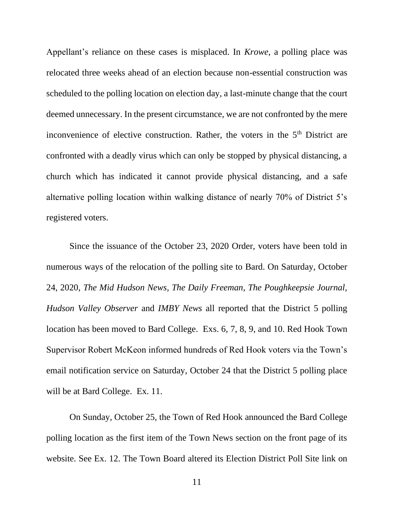Appellant's reliance on these cases is misplaced. In *Krowe*, a polling place was relocated three weeks ahead of an election because non-essential construction was scheduled to the polling location on election day, a last-minute change that the court deemed unnecessary. In the present circumstance, we are not confronted by the mere inconvenience of elective construction. Rather, the voters in the 5<sup>th</sup> District are confronted with a deadly virus which can only be stopped by physical distancing, a church which has indicated it cannot provide physical distancing, and a safe alternative polling location within walking distance of nearly 70% of District 5's registered voters.

<span id="page-13-0"></span>Since the issuance of the October 23, 2020 Order, voters have been told in numerous ways of the relocation of the polling site to Bard. On Saturday, October 24, 2020, *The Mid Hudson News, The Daily Freeman, The Poughkeepsie Journal, Hudson Valley Observer* and *IMBY News* all reported that the District 5 polling location has been moved to Bard College. Exs. 6, 7, 8, 9, and 10. Red Hook Town Supervisor Robert McKeon informed hundreds of Red Hook voters via the Town's email notification service on Saturday, October 24 that the District 5 polling place will be at Bard College.Ex. 11.

On Sunday, October 25, the Town of Red Hook announced the Bard College polling location as the first item of the Town News section on the front page of its website. See Ex. 12. The Town Board altered its Election District Poll Site link on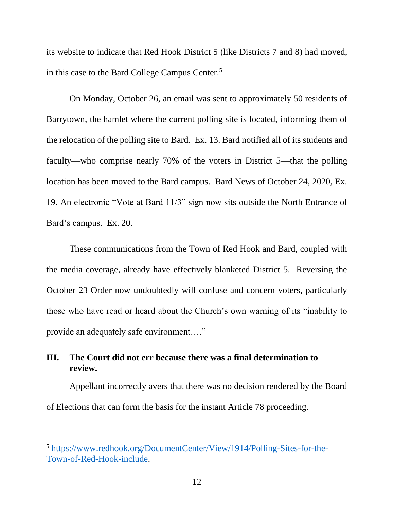its website to indicate that Red Hook District 5 (like Districts 7 and 8) had moved, in this case to the Bard College Campus Center.<sup>5</sup>

On Monday, October 26, an email was sent to approximately 50 residents of Barrytown, the hamlet where the current polling site is located, informing them of the relocation of the polling site to Bard. Ex. 13. Bard notified all of its students and faculty—who comprise nearly 70% of the voters in District 5—that the polling location has been moved to the Bard campus. Bard News of October 24, 2020, Ex. 19. An electronic "Vote at Bard 11/3" sign now sits outside the North Entrance of Bard's campus. Ex. 20.

These communications from the Town of Red Hook and Bard, coupled with the media coverage, already have effectively blanketed District 5. Reversing the October 23 Order now undoubtedly will confuse and concern voters, particularly those who have read or heard about the Church's own warning of its "inability to provide an adequately safe environment…."

## <span id="page-14-0"></span>**III. The Court did not err because there was a final determination to review.**

Appellant incorrectly avers that there was no decision rendered by the Board of Elections that can form the basis for the instant Article 78 proceeding.

<span id="page-14-1"></span><sup>5</sup> [https://www.redhook.org/DocumentCenter/View/1914/Polling-Sites-for-the-](https://www.redhook.org/DocumentCenter/View/1914/Polling-Sites-for-the-Town-of-Red-Hook-include)[Town-of-Red-Hook-include.](https://www.redhook.org/DocumentCenter/View/1914/Polling-Sites-for-the-Town-of-Red-Hook-include)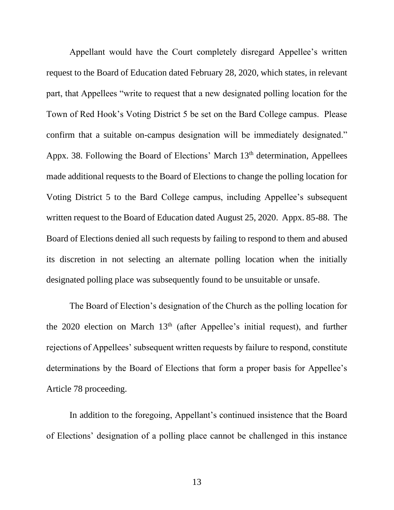Appellant would have the Court completely disregard Appellee's written request to the Board of Education dated February 28, 2020, which states, in relevant part, that Appellees "write to request that a new designated polling location for the Town of Red Hook's Voting District 5 be set on the Bard College campus. Please confirm that a suitable on-campus designation will be immediately designated." Appx. 38. Following the Board of Elections' March 13<sup>th</sup> determination, Appellees made additional requests to the Board of Elections to change the polling location for Voting District 5 to the Bard College campus, including Appellee's subsequent written request to the Board of Education dated August 25, 2020. Appx. 85-88. The Board of Elections denied all such requests by failing to respond to them and abused its discretion in not selecting an alternate polling location when the initially designated polling place was subsequently found to be unsuitable or unsafe.

The Board of Election's designation of the Church as the polling location for the 2020 election on March 13<sup>th</sup> (after Appellee's initial request), and further rejections of Appellees' subsequent written requests by failure to respond, constitute determinations by the Board of Elections that form a proper basis for Appellee's Article 78 proceeding.

In addition to the foregoing, Appellant's continued insistence that the Board of Elections' designation of a polling place cannot be challenged in this instance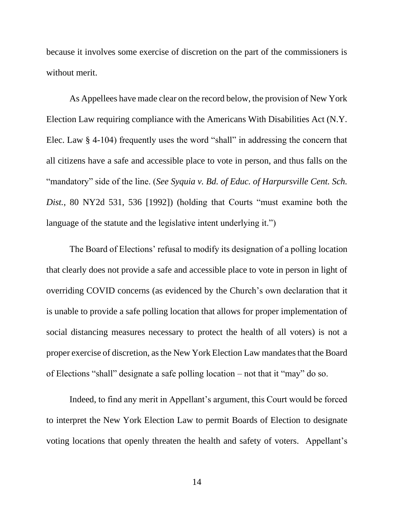because it involves some exercise of discretion on the part of the commissioners is without merit.

<span id="page-16-1"></span>As Appellees have made clear on the record below, the provision of New York Election Law requiring compliance with the Americans With Disabilities Act (N.Y. Elec. Law § 4-104) frequently uses the word "shall" in addressing the concern that all citizens have a safe and accessible place to vote in person, and thus falls on the "mandatory" side of the line. (*See Syquia v. Bd. of Educ. of Harpursville Cent. Sch. Dist.*, 80 NY2d 531, 536 [1992]) (holding that Courts "must examine both the language of the statute and the legislative intent underlying it.")

<span id="page-16-0"></span>The Board of Elections' refusal to modify its designation of a polling location that clearly does not provide a safe and accessible place to vote in person in light of overriding COVID concerns (as evidenced by the Church's own declaration that it is unable to provide a safe polling location that allows for proper implementation of social distancing measures necessary to protect the health of all voters) is not a proper exercise of discretion, as the New York Election Law mandates that the Board of Elections "shall" designate a safe polling location – not that it "may" do so.

Indeed, to find any merit in Appellant's argument, this Court would be forced to interpret the New York Election Law to permit Boards of Election to designate voting locations that openly threaten the health and safety of voters. Appellant's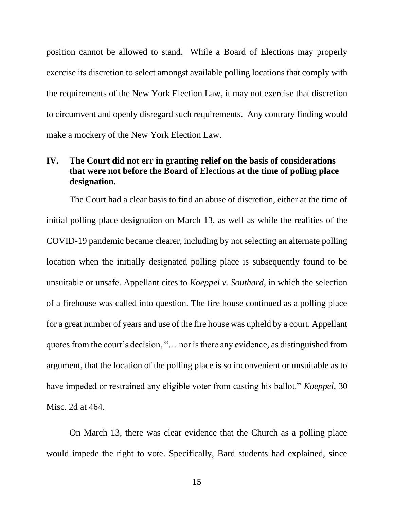<span id="page-17-2"></span>position cannot be allowed to stand. While a Board of Elections may properly exercise its discretion to select amongst available polling locations that comply with the requirements of the New York Election Law, it may not exercise that discretion to circumvent and openly disregard such requirements. Any contrary finding would make a mockery of the New York Election Law.

# <span id="page-17-0"></span>**IV. The Court did not err in granting relief on the basis of considerations that were not before the Board of Elections at the time of polling place designation.**

<span id="page-17-1"></span>The Court had a clear basis to find an abuse of discretion, either at the time of initial polling place designation on March 13, as well as while the realities of the COVID-19 pandemic became clearer, including by not selecting an alternate polling location when the initially designated polling place is subsequently found to be unsuitable or unsafe. Appellant cites to *Koeppel v. Southard*, in which the selection of a firehouse was called into question. The fire house continued as a polling place for a great number of years and use of the fire house was upheld by a court. Appellant quotes from the court's decision, "… nor is there any evidence, as distinguished from argument, that the location of the polling place is so inconvenient or unsuitable as to have impeded or restrained any eligible voter from casting his ballot." *Koeppel*, 30 Misc. 2d at 464.

On March 13, there was clear evidence that the Church as a polling place would impede the right to vote. Specifically, Bard students had explained, since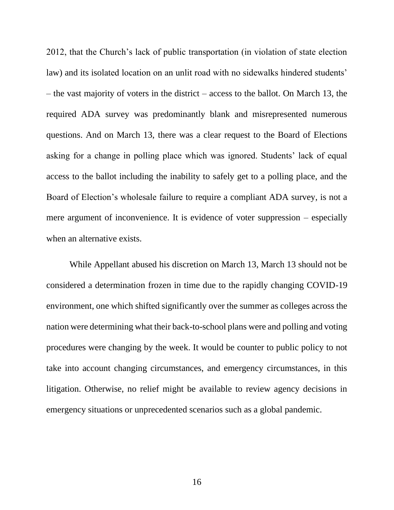2012, that the Church's lack of public transportation (in violation of state election law) and its isolated location on an unlit road with no sidewalks hindered students' – the vast majority of voters in the district – access to the ballot. On March 13, the required ADA survey was predominantly blank and misrepresented numerous questions. And on March 13, there was a clear request to the Board of Elections asking for a change in polling place which was ignored. Students' lack of equal access to the ballot including the inability to safely get to a polling place, and the Board of Election's wholesale failure to require a compliant ADA survey, is not a mere argument of inconvenience. It is evidence of voter suppression – especially when an alternative exists.

While Appellant abused his discretion on March 13, March 13 should not be considered a determination frozen in time due to the rapidly changing COVID-19 environment, one which shifted significantly over the summer as colleges across the nation were determining what their back-to-school plans were and polling and voting procedures were changing by the week. It would be counter to public policy to not take into account changing circumstances, and emergency circumstances, in this litigation. Otherwise, no relief might be available to review agency decisions in emergency situations or unprecedented scenarios such as a global pandemic.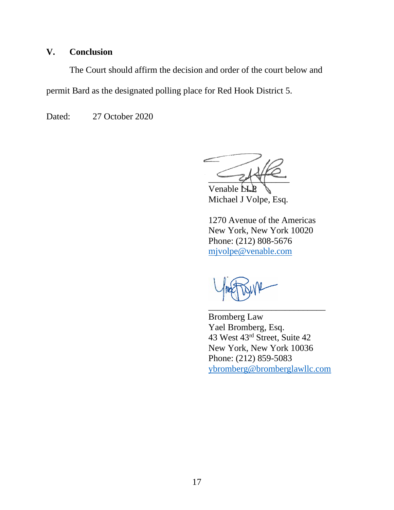# <span id="page-19-0"></span>**V. Conclusion**

The Court should affirm the decision and order of the court below and permit Bard as the designated polling place for Red Hook District 5.

Dated: 27 October 2020

 $Z$ 

Venable **N** Michael J Volpe, Esq.

1270 Avenue of the Americas New York, New York 10020 Phone: (212) 808-5676 [mjvolpe@venable.com](mailto:mjvolpe@venable.com)

\_\_\_\_\_\_\_\_\_\_\_\_\_\_\_\_\_\_\_\_\_\_\_\_\_\_

Bromberg Law Yael Bromberg, Esq. 43 West 43rd Street, Suite 42 New York, New York 10036 Phone: (212) 859-5083 [ybromberg@bromberglawllc.com](mailto:ybromberg@bromberglawllc.com)